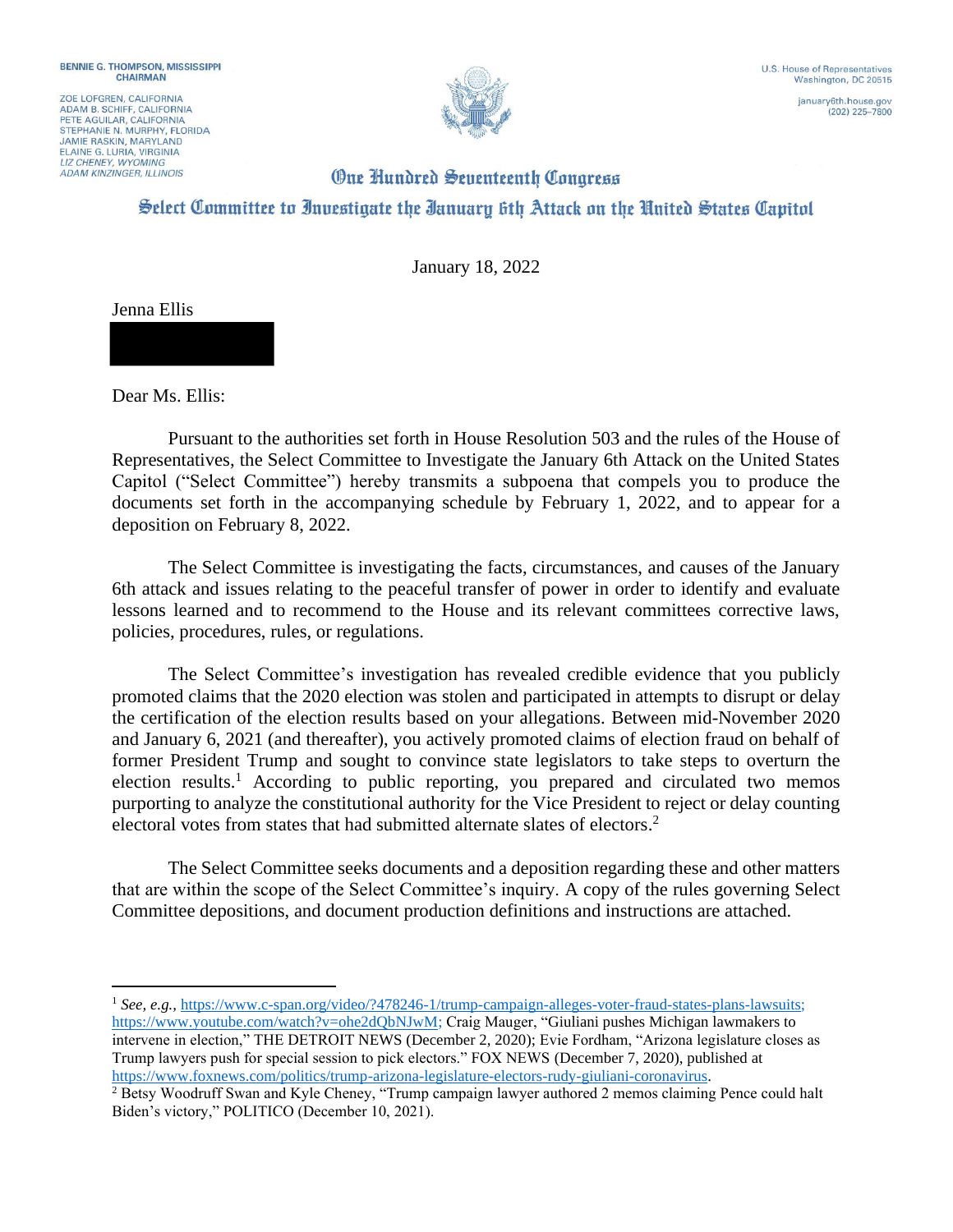ZOE LOFGREN, CALIFORNIA ADAM B. SCHIFF, CALIFORNIA<br>PETE AGUILAR, CALIFORNIA STEPHANIE N. MURPHY, FLORIDA **JAMIE RASKIN, MARYLAND** ELAINE G. LURIA, VIRGINIA **ADAM KINZINGER, ILLINOIS** 



 $(202)$  225-7800

## **One Hundred Seventeenth Congress** Select Committee to Investigate the Ianuary 6th Attack on the United States Capitol

January 18, 2022

Jenna Ellis

Dear Ms. Ellis:

Pursuant to the authorities set forth in House Resolution 503 and the rules of the House of Representatives, the Select Committee to Investigate the January 6th Attack on the United States Capitol ("Select Committee") hereby transmits a subpoena that compels you to produce the documents set forth in the accompanying schedule by February 1, 2022, and to appear for a deposition on February 8, 2022.

The Select Committee is investigating the facts, circumstances, and causes of the January 6th attack and issues relating to the peaceful transfer of power in order to identify and evaluate lessons learned and to recommend to the House and its relevant committees corrective laws, policies, procedures, rules, or regulations.

The Select Committee's investigation has revealed credible evidence that you publicly promoted claims that the 2020 election was stolen and participated in attempts to disrupt or delay the certification of the election results based on your allegations. Between mid-November 2020 and January 6, 2021 (and thereafter), you actively promoted claims of election fraud on behalf of former President Trump and sought to convince state legislators to take steps to overturn the election results.<sup>1</sup> According to public reporting, you prepared and circulated two memos purporting to analyze the constitutional authority for the Vice President to reject or delay counting electoral votes from states that had submitted alternate slates of electors.<sup>2</sup>

The Select Committee seeks documents and a deposition regarding these and other matters that are within the scope of the Select Committee's inquiry. A copy of the rules governing Select Committee depositions, and document production definitions and instructions are attached.

<sup>&</sup>lt;sup>1</sup> See, e.g., https://www.c-span.org/video/?478246-1/trump-campaign-alleges-voter-fraud-states-plans-lawsuits; https://www.youtube.com/watch?v=ohe2dQbNJwM; Craig Mauger, "Giuliani pushes Michigan lawmakers to intervene in election," THE DETROIT NEWS (December 2, 2020); Evie Fordham, "Arizona legislature closes as Trump lawyers push for special session to pick electors." FOX NEWS (December 7, 2020), published at https://www.foxnews.com/politics/trump-arizona-legislature-electors-rudy-giuliani-coronavirus.

<sup>&</sup>lt;sup>2</sup> Betsy Woodruff Swan and Kyle Cheney, "Trump campaign lawyer authored 2 memos claiming Pence could halt Biden's victory," POLITICO (December 10, 2021).